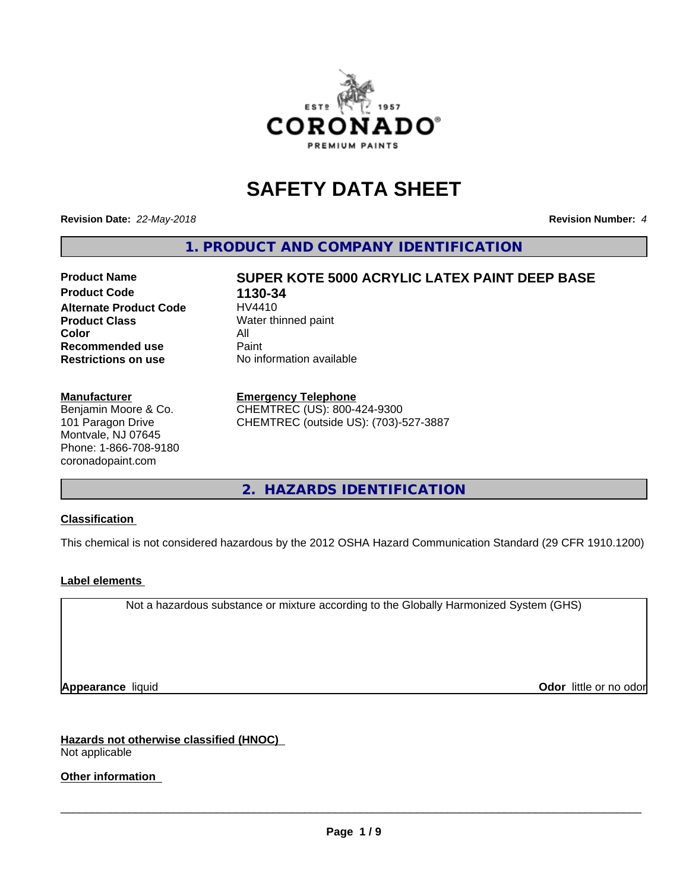

# **SAFETY DATA SHEET**

**Revision Date:** *22-May-2018* **Revision Number:** *4*

**1. PRODUCT AND COMPANY IDENTIFICATION**

### **Product Name SUPER KOTE 5000 ACRYLIC LATEX PAINT DEEP BASE Product Code 1130-34 Alternate Product Code Product Class** Water thinned paint **Color** All<br> **Recommended use** Paint **Recommended use Restrictions on use** No information available

#### **Manufacturer**

Benjamin Moore & Co. 101 Paragon Drive Montvale, NJ 07645 Phone: 1-866-708-9180 coronadopaint.com

### **Emergency Telephone**

CHEMTREC (US): 800-424-9300 CHEMTREC (outside US): (703)-527-3887

**2. HAZARDS IDENTIFICATION**

### **Classification**

This chemical is not considered hazardous by the 2012 OSHA Hazard Communication Standard (29 CFR 1910.1200)

### **Label elements**

Not a hazardous substance or mixture according to the Globally Harmonized System (GHS)

**Appearance** liquid **Contract Contract Contract Contract Contract Contract Contract Contract Contract Contract Contract Contract Contract Contract Contract Contract Contract Contract Contract Contract Contract Contract Con** 

#### **Hazards not otherwise classified (HNOC)** Not applicable

## **Other information**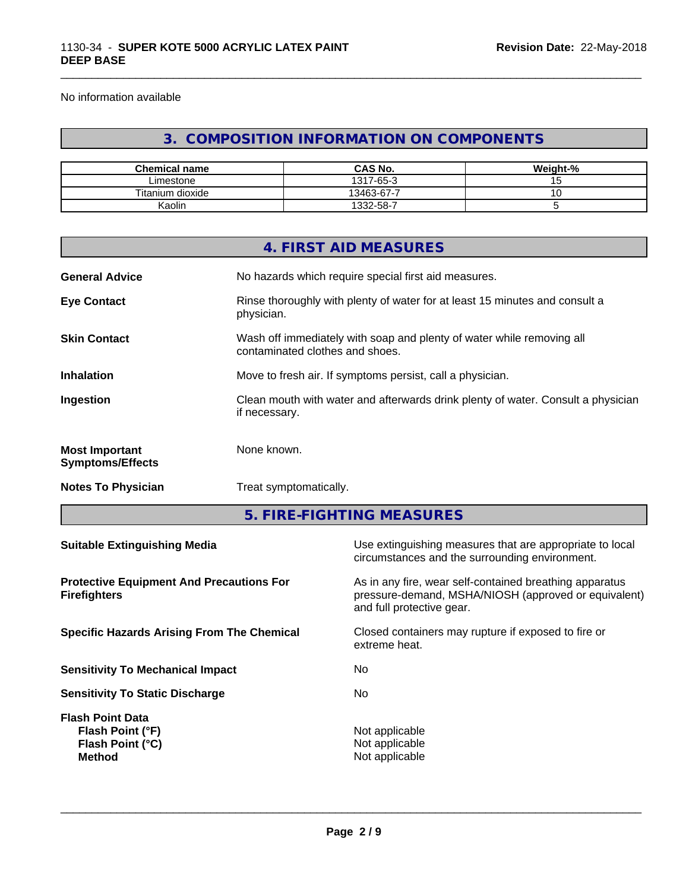No information available

## **3. COMPOSITION INFORMATION ON COMPONENTS**

\_\_\_\_\_\_\_\_\_\_\_\_\_\_\_\_\_\_\_\_\_\_\_\_\_\_\_\_\_\_\_\_\_\_\_\_\_\_\_\_\_\_\_\_\_\_\_\_\_\_\_\_\_\_\_\_\_\_\_\_\_\_\_\_\_\_\_\_\_\_\_\_\_\_\_\_\_\_\_\_\_\_\_\_\_\_\_\_\_\_\_\_\_

| <b>Chemical name</b> | <b>CAS No.</b> | Weight-% |
|----------------------|----------------|----------|
| ∟imestone            | 1317-65-3      |          |
| Titanium dioxide     | 13463-67-7     | ັ        |
| Kaolin               | 1332-58-7      |          |

|                                                                        |               | 4. FIRST AID MEASURES                                                                                                                        |  |  |
|------------------------------------------------------------------------|---------------|----------------------------------------------------------------------------------------------------------------------------------------------|--|--|
| <b>General Advice</b>                                                  |               | No hazards which require special first aid measures.                                                                                         |  |  |
| <b>Eye Contact</b>                                                     | physician.    | Rinse thoroughly with plenty of water for at least 15 minutes and consult a                                                                  |  |  |
| <b>Skin Contact</b>                                                    |               | Wash off immediately with soap and plenty of water while removing all<br>contaminated clothes and shoes.                                     |  |  |
| Inhalation                                                             |               | Move to fresh air. If symptoms persist, call a physician.                                                                                    |  |  |
| Ingestion                                                              | if necessary. | Clean mouth with water and afterwards drink plenty of water. Consult a physician                                                             |  |  |
| <b>Most Important</b><br><b>Symptoms/Effects</b>                       | None known.   |                                                                                                                                              |  |  |
| <b>Notes To Physician</b>                                              |               | Treat symptomatically.                                                                                                                       |  |  |
|                                                                        |               | 5. FIRE-FIGHTING MEASURES                                                                                                                    |  |  |
| <b>Suitable Extinguishing Media</b>                                    |               | Use extinguishing measures that are appropriate to local<br>circumstances and the surrounding environment.                                   |  |  |
| <b>Protective Equipment And Precautions For</b><br><b>Firefighters</b> |               | As in any fire, wear self-contained breathing apparatus<br>pressure-demand, MSHA/NIOSH (approved or equivalent)<br>and full protective gear. |  |  |
| <b>Specific Hazards Arising From The Chemical</b>                      |               | Closed containers may rupture if exposed to fire or<br>extreme heat.                                                                         |  |  |
| <b>Sensitivity To Mechanical Impact</b>                                |               | No                                                                                                                                           |  |  |
| <b>Sensitivity To Static Discharge</b>                                 |               | No                                                                                                                                           |  |  |

**Flash Point Data Flash Point (°F)**<br> **Flash Point (°C)**<br> **Flash Point (°C)**<br> **CO Flash Point (°C) Method** Not applicable<br>Method Not applicable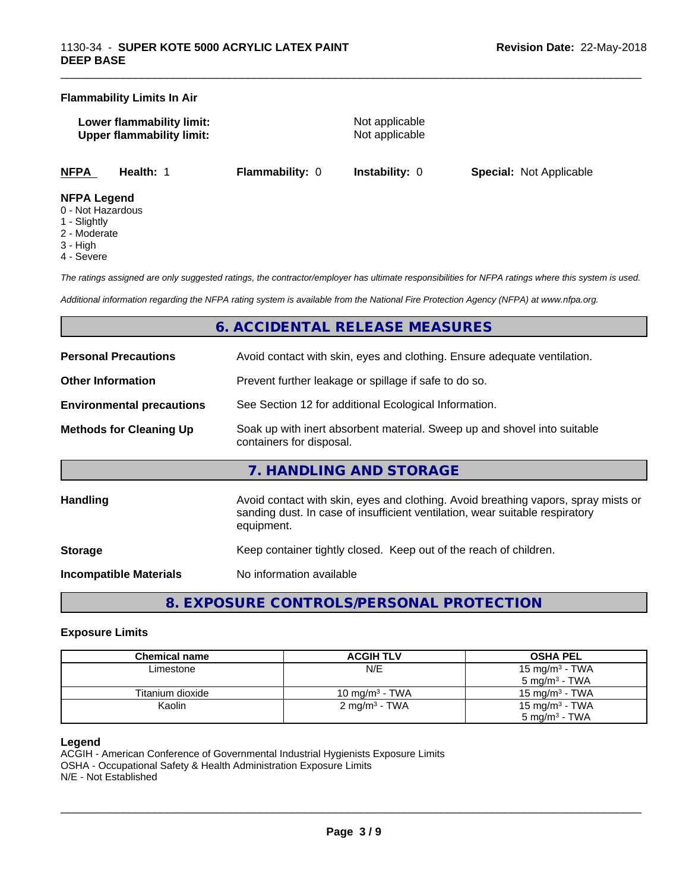#### **Flammability Limits In Air**

**Lower flammability limit:** Not applicable **Upper flammability limit:** Not applicable

\_\_\_\_\_\_\_\_\_\_\_\_\_\_\_\_\_\_\_\_\_\_\_\_\_\_\_\_\_\_\_\_\_\_\_\_\_\_\_\_\_\_\_\_\_\_\_\_\_\_\_\_\_\_\_\_\_\_\_\_\_\_\_\_\_\_\_\_\_\_\_\_\_\_\_\_\_\_\_\_\_\_\_\_\_\_\_\_\_\_\_\_\_

**NFPA Health:** 1 **Flammability:** 0 **Instability:** 0 **Special:** Not Applicable

#### **NFPA Legend**

- 0 Not Hazardous
- 1 Slightly
- 2 Moderate
- 3 High
- 4 Severe

*The ratings assigned are only suggested ratings, the contractor/employer has ultimate responsibilities for NFPA ratings where this system is used.*

*Additional information regarding the NFPA rating system is available from the National Fire Protection Agency (NFPA) at www.nfpa.org.*

## **6. ACCIDENTAL RELEASE MEASURES**

| <b>Personal Precautions</b>      | Avoid contact with skin, eyes and clothing. Ensure adequate ventilation.                                                                                                         |  |  |
|----------------------------------|----------------------------------------------------------------------------------------------------------------------------------------------------------------------------------|--|--|
| <b>Other Information</b>         | Prevent further leakage or spillage if safe to do so.                                                                                                                            |  |  |
| <b>Environmental precautions</b> | See Section 12 for additional Ecological Information.                                                                                                                            |  |  |
| <b>Methods for Cleaning Up</b>   | Soak up with inert absorbent material. Sweep up and shovel into suitable<br>containers for disposal.                                                                             |  |  |
|                                  | 7. HANDLING AND STORAGE                                                                                                                                                          |  |  |
| Handling                         | Avoid contact with skin, eyes and clothing. Avoid breathing vapors, spray mists or<br>sanding dust. In case of insufficient ventilation, wear suitable respiratory<br>equipment. |  |  |
| <b>Storage</b>                   | Keep container tightly closed. Keep out of the reach of children.                                                                                                                |  |  |
| <b>Incompatible Materials</b>    | No information available                                                                                                                                                         |  |  |

**8. EXPOSURE CONTROLS/PERSONAL PROTECTION**

#### **Exposure Limits**

| Chemical name    | <b>ACGIH TLV</b>         | <b>OSHA PEL</b>            |
|------------------|--------------------------|----------------------------|
| Limestone        | N/E                      | 15 mg/m <sup>3</sup> - TWA |
|                  |                          | $5 \text{ mg/m}^3$ - TWA   |
| Titanium dioxide | 10 mg/m $3$ - TWA        | 15 mg/m $3$ - TWA          |
| Kaolin           | $2 \text{ mg/m}^3$ - TWA | 15 mg/m <sup>3</sup> - TWA |
|                  |                          | $5 \text{ mg/m}^3$ - TWA   |

#### **Legend**

ACGIH - American Conference of Governmental Industrial Hygienists Exposure Limits OSHA - Occupational Safety & Health Administration Exposure Limits N/E - Not Established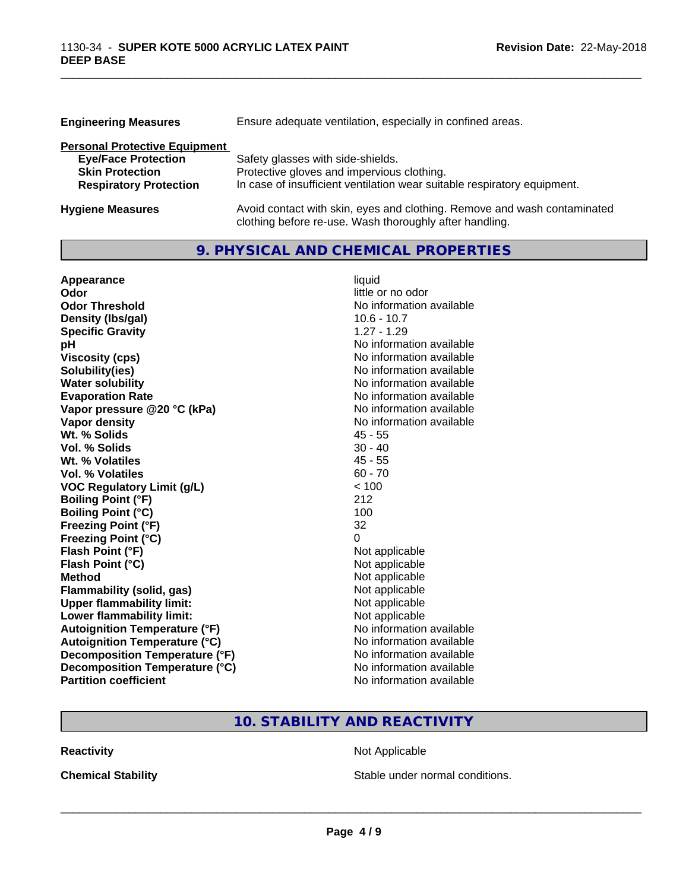| <b>Engineering Measures</b>          | Ensure adequate ventilation, especially in confined areas.               |
|--------------------------------------|--------------------------------------------------------------------------|
| <b>Personal Protective Equipment</b> |                                                                          |
| <b>Eye/Face Protection</b>           | Safety glasses with side-shields.                                        |
| <b>Skin Protection</b>               | Protective gloves and impervious clothing.                               |
| <b>Respiratory Protection</b>        | In case of insufficient ventilation wear suitable respiratory equipment. |
| <b>Hygiene Measures</b>              | Avoid contact with skin, eyes and clothing. Remove and wash contaminated |

clothing before re-use. Wash thoroughly after handling.

\_\_\_\_\_\_\_\_\_\_\_\_\_\_\_\_\_\_\_\_\_\_\_\_\_\_\_\_\_\_\_\_\_\_\_\_\_\_\_\_\_\_\_\_\_\_\_\_\_\_\_\_\_\_\_\_\_\_\_\_\_\_\_\_\_\_\_\_\_\_\_\_\_\_\_\_\_\_\_\_\_\_\_\_\_\_\_\_\_\_\_\_\_

## **9. PHYSICAL AND CHEMICAL PROPERTIES**

| Appearance                           | liquid                   |
|--------------------------------------|--------------------------|
| Odor                                 | little or no odor        |
| <b>Odor Threshold</b>                | No information available |
| Density (Ibs/gal)                    | $10.6 - 10.7$            |
| <b>Specific Gravity</b>              | $1.27 - 1.29$            |
| pH                                   | No information available |
| <b>Viscosity (cps)</b>               | No information available |
| Solubility(ies)                      | No information available |
| <b>Water solubility</b>              | No information available |
| <b>Evaporation Rate</b>              | No information available |
| Vapor pressure @20 °C (kPa)          | No information available |
| <b>Vapor density</b>                 | No information available |
| Wt. % Solids                         | $45 - 55$                |
| Vol. % Solids                        | $30 - 40$                |
| Wt. % Volatiles                      | $45 - 55$                |
| Vol. % Volatiles                     | $60 - 70$                |
| <b>VOC Regulatory Limit (g/L)</b>    | < 100                    |
| <b>Boiling Point (°F)</b>            | 212                      |
| <b>Boiling Point (°C)</b>            | 100                      |
| <b>Freezing Point (°F)</b>           | 32                       |
| <b>Freezing Point (°C)</b>           | 0                        |
| Flash Point (°F)                     | Not applicable           |
| Flash Point (°C)                     | Not applicable           |
| <b>Method</b>                        | Not applicable           |
| Flammability (solid, gas)            | Not applicable           |
| <b>Upper flammability limit:</b>     | Not applicable           |
| Lower flammability limit:            | Not applicable           |
| <b>Autoignition Temperature (°F)</b> | No information available |
| <b>Autoignition Temperature (°C)</b> | No information available |
| Decomposition Temperature (°F)       | No information available |
| Decomposition Temperature (°C)       | No information available |
| <b>Partition coefficient</b>         | No information available |

## **10. STABILITY AND REACTIVITY**

**Reactivity Not Applicable** Not Applicable

**Chemical Stability Chemical Stability** Stable under normal conditions.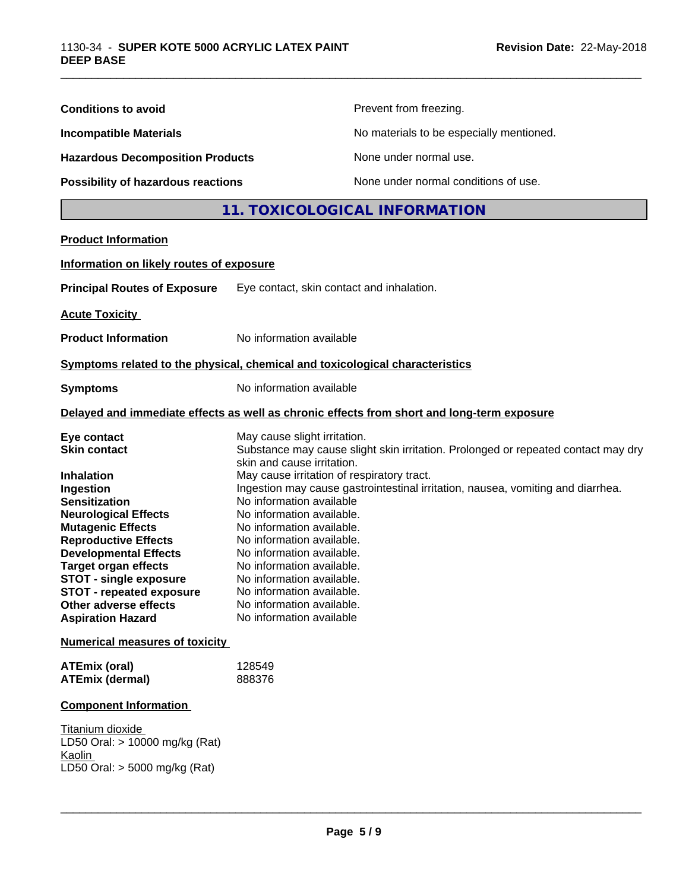| <b>Conditions to avoid</b>                                                                                                                                                                                                                                                                                                                                                     |                                                                                                                                                                                                                                                                                                                                                                                                          | Prevent from freezing.                                                                                                                                               |  |
|--------------------------------------------------------------------------------------------------------------------------------------------------------------------------------------------------------------------------------------------------------------------------------------------------------------------------------------------------------------------------------|----------------------------------------------------------------------------------------------------------------------------------------------------------------------------------------------------------------------------------------------------------------------------------------------------------------------------------------------------------------------------------------------------------|----------------------------------------------------------------------------------------------------------------------------------------------------------------------|--|
| <b>Incompatible Materials</b>                                                                                                                                                                                                                                                                                                                                                  | No materials to be especially mentioned.                                                                                                                                                                                                                                                                                                                                                                 |                                                                                                                                                                      |  |
| <b>Hazardous Decomposition Products</b>                                                                                                                                                                                                                                                                                                                                        | None under normal use.                                                                                                                                                                                                                                                                                                                                                                                   |                                                                                                                                                                      |  |
| <b>Possibility of hazardous reactions</b>                                                                                                                                                                                                                                                                                                                                      |                                                                                                                                                                                                                                                                                                                                                                                                          | None under normal conditions of use.                                                                                                                                 |  |
|                                                                                                                                                                                                                                                                                                                                                                                |                                                                                                                                                                                                                                                                                                                                                                                                          | 11. TOXICOLOGICAL INFORMATION                                                                                                                                        |  |
| <b>Product Information</b>                                                                                                                                                                                                                                                                                                                                                     |                                                                                                                                                                                                                                                                                                                                                                                                          |                                                                                                                                                                      |  |
| Information on likely routes of exposure                                                                                                                                                                                                                                                                                                                                       |                                                                                                                                                                                                                                                                                                                                                                                                          |                                                                                                                                                                      |  |
| <b>Principal Routes of Exposure</b>                                                                                                                                                                                                                                                                                                                                            | Eye contact, skin contact and inhalation.                                                                                                                                                                                                                                                                                                                                                                |                                                                                                                                                                      |  |
| <b>Acute Toxicity</b>                                                                                                                                                                                                                                                                                                                                                          |                                                                                                                                                                                                                                                                                                                                                                                                          |                                                                                                                                                                      |  |
| <b>Product Information</b>                                                                                                                                                                                                                                                                                                                                                     | No information available                                                                                                                                                                                                                                                                                                                                                                                 |                                                                                                                                                                      |  |
| Symptoms related to the physical, chemical and toxicological characteristics                                                                                                                                                                                                                                                                                                   |                                                                                                                                                                                                                                                                                                                                                                                                          |                                                                                                                                                                      |  |
| <b>Symptoms</b>                                                                                                                                                                                                                                                                                                                                                                | No information available                                                                                                                                                                                                                                                                                                                                                                                 |                                                                                                                                                                      |  |
|                                                                                                                                                                                                                                                                                                                                                                                |                                                                                                                                                                                                                                                                                                                                                                                                          | Delayed and immediate effects as well as chronic effects from short and long-term exposure                                                                           |  |
| Eye contact<br><b>Skin contact</b><br><b>Inhalation</b><br>Ingestion<br><b>Sensitization</b><br><b>Neurological Effects</b><br><b>Mutagenic Effects</b><br><b>Reproductive Effects</b><br><b>Developmental Effects</b><br><b>Target organ effects</b><br><b>STOT - single exposure</b><br><b>STOT - repeated exposure</b><br>Other adverse effects<br><b>Aspiration Hazard</b> | May cause slight irritation.<br>skin and cause irritation.<br>May cause irritation of respiratory tract.<br>No information available<br>No information available.<br>No information available.<br>No information available.<br>No information available.<br>No information available.<br>No information available.<br>No information available.<br>No information available.<br>No information available | Substance may cause slight skin irritation. Prolonged or repeated contact may dry<br>Ingestion may cause gastrointestinal irritation, nausea, vomiting and diarrhea. |  |
| <b>Numerical measures of toxicity</b>                                                                                                                                                                                                                                                                                                                                          |                                                                                                                                                                                                                                                                                                                                                                                                          |                                                                                                                                                                      |  |
| <b>ATEmix (oral)</b><br><b>ATEmix (dermal)</b>                                                                                                                                                                                                                                                                                                                                 | 128549<br>888376                                                                                                                                                                                                                                                                                                                                                                                         |                                                                                                                                                                      |  |
| <b>Component Information</b>                                                                                                                                                                                                                                                                                                                                                   |                                                                                                                                                                                                                                                                                                                                                                                                          |                                                                                                                                                                      |  |
| Titanium dioxide<br>LD50 Oral: > 10000 mg/kg (Rat)<br>Kaolin<br>LD50 Oral: > 5000 mg/kg (Rat)                                                                                                                                                                                                                                                                                  |                                                                                                                                                                                                                                                                                                                                                                                                          |                                                                                                                                                                      |  |

\_\_\_\_\_\_\_\_\_\_\_\_\_\_\_\_\_\_\_\_\_\_\_\_\_\_\_\_\_\_\_\_\_\_\_\_\_\_\_\_\_\_\_\_\_\_\_\_\_\_\_\_\_\_\_\_\_\_\_\_\_\_\_\_\_\_\_\_\_\_\_\_\_\_\_\_\_\_\_\_\_\_\_\_\_\_\_\_\_\_\_\_\_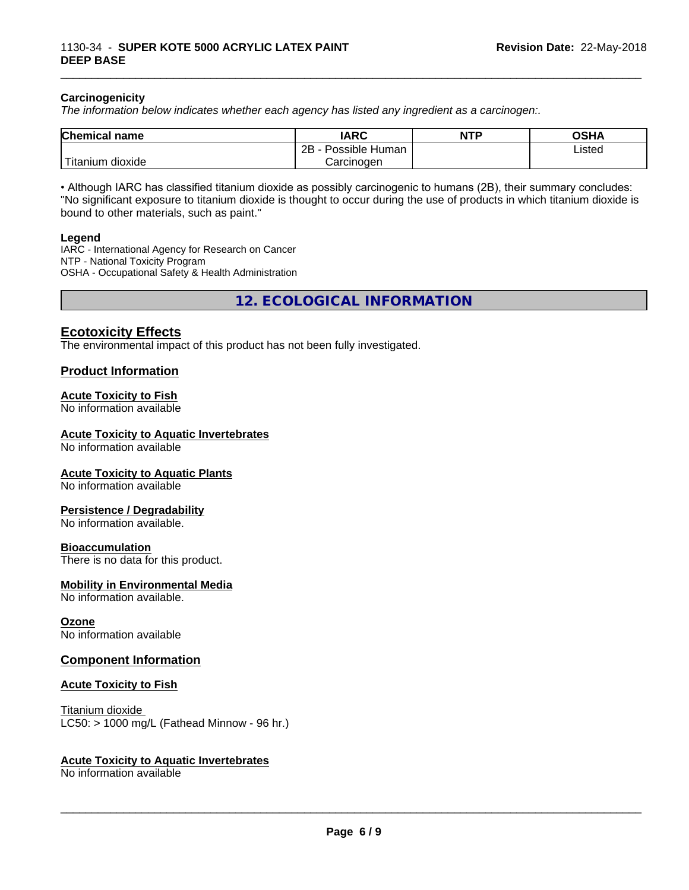#### **Carcinogenicity**

*The information below indicateswhether each agency has listed any ingredient as a carcinogen:.*

| <b>Chemical</b><br>name     | <b>IARC</b>                      | <b>NTP</b> | <b>OSHA</b> |
|-----------------------------|----------------------------------|------------|-------------|
|                             | . .<br>2Β<br>: Human<br>Possible |            | Listed      |
| , dioxide<br><b>itanium</b> | Carcinoɑen                       |            |             |

\_\_\_\_\_\_\_\_\_\_\_\_\_\_\_\_\_\_\_\_\_\_\_\_\_\_\_\_\_\_\_\_\_\_\_\_\_\_\_\_\_\_\_\_\_\_\_\_\_\_\_\_\_\_\_\_\_\_\_\_\_\_\_\_\_\_\_\_\_\_\_\_\_\_\_\_\_\_\_\_\_\_\_\_\_\_\_\_\_\_\_\_\_

• Although IARC has classified titanium dioxide as possibly carcinogenic to humans (2B), their summary concludes: "No significant exposure to titanium dioxide is thought to occur during the use of products in which titanium dioxide is bound to other materials, such as paint."

#### **Legend**

IARC - International Agency for Research on Cancer NTP - National Toxicity Program OSHA - Occupational Safety & Health Administration

**12. ECOLOGICAL INFORMATION**

### **Ecotoxicity Effects**

The environmental impact of this product has not been fully investigated.

#### **Product Information**

#### **Acute Toxicity to Fish**

No information available

#### **Acute Toxicity to Aquatic Invertebrates**

No information available

#### **Acute Toxicity to Aquatic Plants**

No information available

#### **Persistence / Degradability**

No information available.

#### **Bioaccumulation**

There is no data for this product.

#### **Mobility in Environmental Media**

No information available.

#### **Ozone**

No information available

#### **Component Information**

#### **Acute Toxicity to Fish**

Titanium dioxide  $LC50:$  > 1000 mg/L (Fathead Minnow - 96 hr.)

#### **Acute Toxicity to Aquatic Invertebrates**

No information available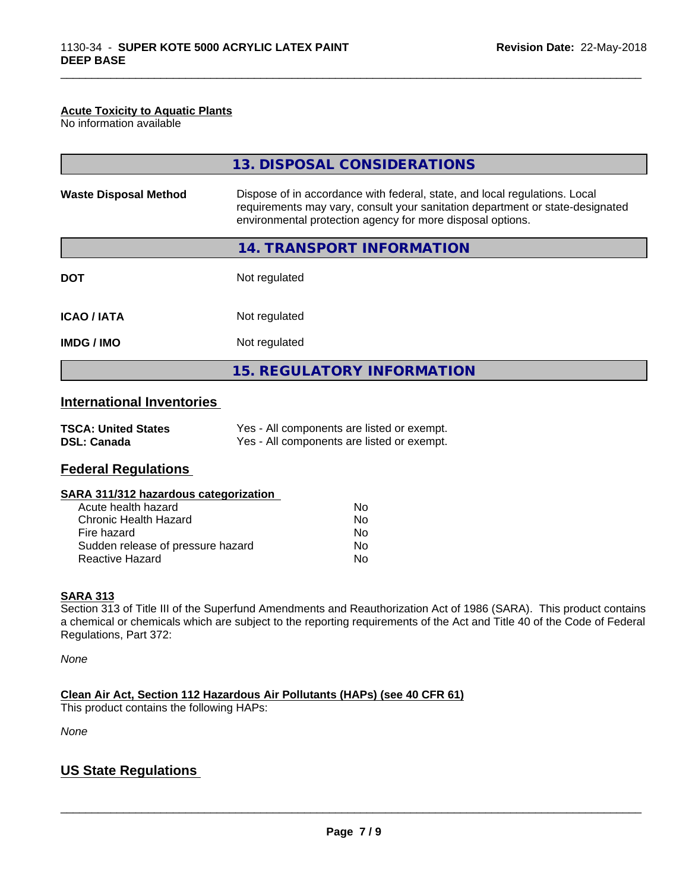#### **Acute Toxicity to Aquatic Plants**

No information available

|                              | 13. DISPOSAL CONSIDERATIONS                                                                                                                                                                                               |
|------------------------------|---------------------------------------------------------------------------------------------------------------------------------------------------------------------------------------------------------------------------|
| <b>Waste Disposal Method</b> | Dispose of in accordance with federal, state, and local regulations. Local<br>requirements may vary, consult your sanitation department or state-designated<br>environmental protection agency for more disposal options. |
|                              | 14. TRANSPORT INFORMATION                                                                                                                                                                                                 |
| <b>DOT</b>                   | Not regulated                                                                                                                                                                                                             |
| <b>ICAO/IATA</b>             | Not regulated                                                                                                                                                                                                             |
| <b>IMDG / IMO</b>            | Not regulated                                                                                                                                                                                                             |
|                              | <b>15. REGULATORY INFORMATION</b>                                                                                                                                                                                         |

\_\_\_\_\_\_\_\_\_\_\_\_\_\_\_\_\_\_\_\_\_\_\_\_\_\_\_\_\_\_\_\_\_\_\_\_\_\_\_\_\_\_\_\_\_\_\_\_\_\_\_\_\_\_\_\_\_\_\_\_\_\_\_\_\_\_\_\_\_\_\_\_\_\_\_\_\_\_\_\_\_\_\_\_\_\_\_\_\_\_\_\_\_

## **International Inventories**

| <b>TSCA: United States</b> | Yes - All components are listed or exempt. |
|----------------------------|--------------------------------------------|
| <b>DSL: Canada</b>         | Yes - All components are listed or exempt. |

### **Federal Regulations**

#### **SARA 311/312 hazardous categorization**

| Acute health hazard               | No |
|-----------------------------------|----|
| Chronic Health Hazard             | No |
| Fire hazard                       | Nο |
| Sudden release of pressure hazard | Nο |
| Reactive Hazard                   | Nο |

#### **SARA 313**

Section 313 of Title III of the Superfund Amendments and Reauthorization Act of 1986 (SARA). This product contains a chemical or chemicals which are subject to the reporting requirements of the Act and Title 40 of the Code of Federal Regulations, Part 372:

*None*

**Clean Air Act,Section 112 Hazardous Air Pollutants (HAPs) (see 40 CFR 61)**

This product contains the following HAPs:

*None*

## **US State Regulations**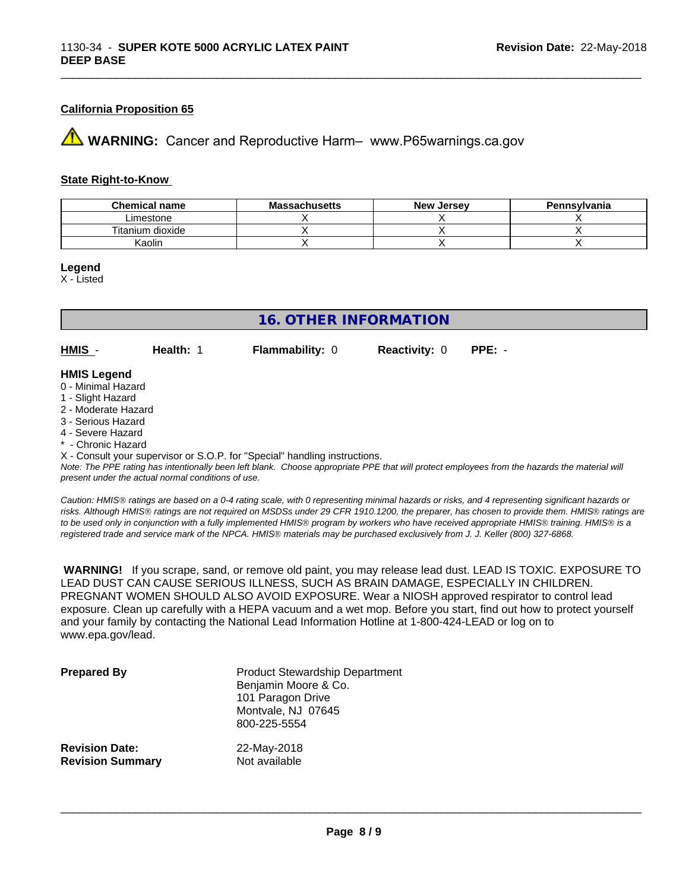#### **California Proposition 65**

**AVIMARNING:** Cancer and Reproductive Harm– www.P65warnings.ca.gov

#### **State Right-to-Know**

| <b>Chemical name</b> | <b>Massachusetts</b> | <b>New Jersey</b> | Pennsylvania |
|----------------------|----------------------|-------------------|--------------|
| Limestone            |                      |                   |              |
| Titanium dioxide     |                      |                   |              |
| Kaolin               |                      |                   |              |

\_\_\_\_\_\_\_\_\_\_\_\_\_\_\_\_\_\_\_\_\_\_\_\_\_\_\_\_\_\_\_\_\_\_\_\_\_\_\_\_\_\_\_\_\_\_\_\_\_\_\_\_\_\_\_\_\_\_\_\_\_\_\_\_\_\_\_\_\_\_\_\_\_\_\_\_\_\_\_\_\_\_\_\_\_\_\_\_\_\_\_\_\_

**Legend**

X - Listed

## **16. OTHER INFORMATION**

**HMIS** - **Health:** 1 **Flammability:** 0 **Reactivity:** 0 **PPE:** -

#### **HMIS Legend**

- 0 Minimal Hazard
- 1 Slight Hazard
- 2 Moderate Hazard
- 3 Serious Hazard
- 4 Severe Hazard
- \* Chronic Hazard
- X Consult your supervisor or S.O.P. for "Special" handling instructions.

*Note: The PPE rating has intentionally been left blank. Choose appropriate PPE that will protect employees from the hazards the material will present under the actual normal conditions of use.*

*Caution: HMISÒ ratings are based on a 0-4 rating scale, with 0 representing minimal hazards or risks, and 4 representing significant hazards or risks. Although HMISÒ ratings are not required on MSDSs under 29 CFR 1910.1200, the preparer, has chosen to provide them. HMISÒ ratings are to be used only in conjunction with a fully implemented HMISÒ program by workers who have received appropriate HMISÒ training. HMISÒ is a registered trade and service mark of the NPCA. HMISÒ materials may be purchased exclusively from J. J. Keller (800) 327-6868.*

 **WARNING!** If you scrape, sand, or remove old paint, you may release lead dust. LEAD IS TOXIC. EXPOSURE TO LEAD DUST CAN CAUSE SERIOUS ILLNESS, SUCH AS BRAIN DAMAGE, ESPECIALLY IN CHILDREN. PREGNANT WOMEN SHOULD ALSO AVOID EXPOSURE.Wear a NIOSH approved respirator to control lead exposure. Clean up carefully with a HEPA vacuum and a wet mop. Before you start, find out how to protect yourself and your family by contacting the National Lead Information Hotline at 1-800-424-LEAD or log on to www.epa.gov/lead.

| <b>Prepared By</b>      | <b>Product Stewardship Department</b><br>Benjamin Moore & Co.<br>101 Paragon Drive<br>Montvale, NJ 07645<br>800-225-5554 |
|-------------------------|--------------------------------------------------------------------------------------------------------------------------|
| <b>Revision Date:</b>   | 22-May-2018                                                                                                              |
| <b>Revision Summary</b> | Not available                                                                                                            |